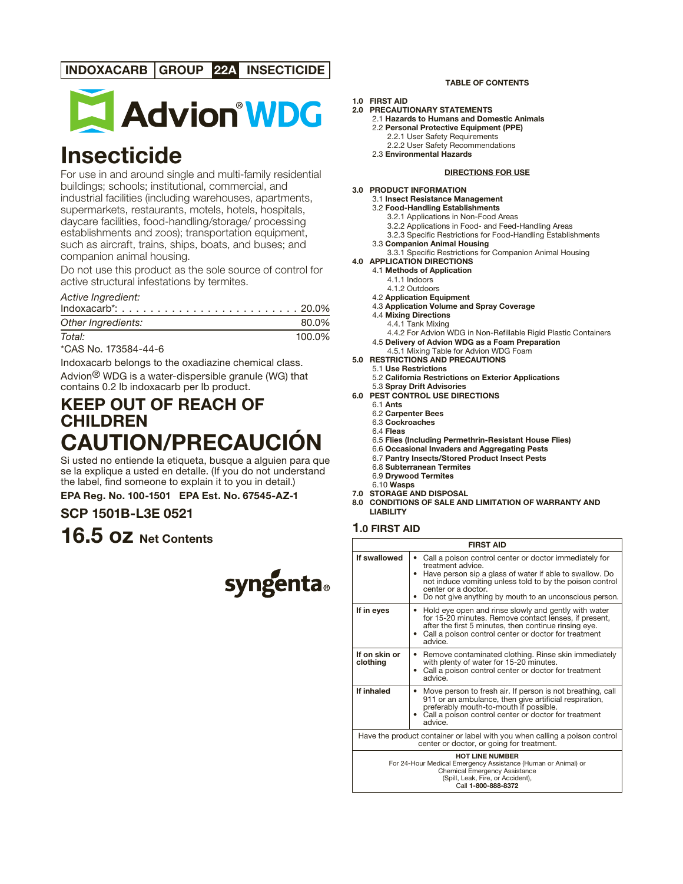# **INDOXACARB GROUP 22A INSECTICIDE**



# **Insecticide**

For use in and around single and multi-family residential buildings; schools; institutional, commercial, and industrial facilities (including warehouses, apartments, supermarkets, restaurants, motels, hotels, hospitals, daycare facilities, food-handling/storage/ processing establishments and zoos); transportation equipment, such as aircraft, trains, ships, boats, and buses; and companion animal housing.

Do not use this product as the sole source of control for active structural infestations by termites.

# Active Ingredient:

| Other Ingredients: | 80.0%  |
|--------------------|--------|
| Total:             | 100.0% |

\*CAS No. 173584-44-6

Indoxacarb belongs to the oxadiazine chemical class. Advion® WDG is a water-dispersible granule (WG) that contains 0.2 lb indoxacarb per lb product.

# **KEEP OUT OF REACH OF CHILDREN CAUTION/PRECAUCIÓN**

Si usted no entiende la etiqueta, busque a alguien para que se la explique a usted en detalle. (If you do not understand the label, find someone to explain it to you in detail.)

**EPA Reg. No. 100-1501 EPA Est. No. 67545-AZ-1**

# **SCP 1501B-L3E 0521**

**16.5 oz Net Contents**



#### **TABLE OF CONTENTS**

# **1.0 FIRST AID**

- **2.0 PRECAUTIONARY STATEMENTS**
	- 2.1 **Hazards to Humans and Domestic Animals**
		- 2.2 **Personal Protective Equipment (PPE)**
			- 2.2.1 User Safety Requirements 2.2.2 User Safety Recommendations
		- 2.3 **Environmental Hazards**

#### **DIRECTIONS FOR USE**

#### **3.0 PRODUCT INFORMATION**

- 3.1 **Insect Resistance Management**
- 3.2 **Food-Handling Establishments** 3.2.1 Applications in Non-Food Areas
	- 3.2.2 Applications in Food- and Feed-Handling Areas
	- 3.2.3 Specific Restrictions for Food-Handling Establishments
- 3.3 **Companion Animal Housing**
- 3.3.1 Specific Restrictions for Companion Animal Housing

# **4.0 APPLICATION DIRECTIONS**

- 4.1 **Methods of Application**
	- 4.1.1 Indoors 4.1.2 Outdoors
- 4.2 **Application Equipment**
- 4.3 **Application Volume and Spray Coverage**
- 4.4 **Mixing Directions**
- 4.4.1 Tank Mixing
- 4.4.2 For Advion WDG in Non-Refillable Rigid Plastic Containers
- 4.5 **Delivery of Advion WDG as a Foam Preparation** 4.5.1 Mixing Table for Advion WDG Foam
- **5.0 RESTRICTIONS AND PRECAUTIONS**
	- 5.1 **Use Restrictions**
		- 5.2 **California Restrictions on Exterior Applications**
- 5.3 **Spray Drift Advisories 6.0 PEST CONTROL USE DIRECTIONS**
	-
	- 6.1 **Ants**
	- 6.2 **Carpenter Bees** 6.3 **Cockroaches**
	- 6.4 **Fleas**
	- 6.5 **Flies (Including Permethrin-Resistant House Flies)**
	- 6.6 **Occasional Invaders and Aggregating Pests**
	- 6.7 **Pantry Insects/Stored Product Insect Pests**
	- 6.8 **Subterranean Termites**
	- 6.9 **Drywood Termites**
- 6.10 **Wasps 7.0 STORAGE AND DISPOSAL**
- **8.0 CONDITIONS OF SALE AND LIMITATION OF WARRANTY AND LIABILITY**

# **1.0 FIRST AID**

| <b>FIRST AID</b>                                                                                                                                                                     |                                                                                                                                                                                                                                                                                           |  |
|--------------------------------------------------------------------------------------------------------------------------------------------------------------------------------------|-------------------------------------------------------------------------------------------------------------------------------------------------------------------------------------------------------------------------------------------------------------------------------------------|--|
| If swallowed                                                                                                                                                                         | Call a poison control center or doctor immediately for<br>treatment advice.<br>Have person sip a glass of water if able to swallow. Do<br>not induce vomiting unless told to by the poison control<br>center or a doctor.<br>Do not give anything by mouth to an unconscious person.<br>٠ |  |
| If in eyes                                                                                                                                                                           | Hold eye open and rinse slowly and gently with water<br>٠<br>for 15-20 minutes. Remove contact lenses, if present,<br>after the first 5 minutes, then continue rinsing eye.<br>Call a poison control center or doctor for treatment<br>advice                                             |  |
| If on skin or<br>clothing                                                                                                                                                            | Remove contaminated clothing. Rinse skin immediately<br>٠<br>with plenty of water for 15-20 minutes.<br>• Call a poison control center or doctor for treatment<br>advice                                                                                                                  |  |
| If inhaled                                                                                                                                                                           | Move person to fresh air. If person is not breathing, call<br>٠<br>911 or an ambulance, then give artificial respiration,<br>preferably mouth-to-mouth if possible.<br>Call a poison control center or doctor for treatment<br>advice                                                     |  |
| Have the product container or label with you when calling a poison control<br>center or doctor, or going for treatment.                                                              |                                                                                                                                                                                                                                                                                           |  |
| HOT LINE NUMBER<br>For 24-Hour Medical Emergency Assistance (Human or Animal) or<br><b>Chemical Emergency Assistance</b><br>(Spill, Leak, Fire, or Accident),<br>Call 1-800-888-8372 |                                                                                                                                                                                                                                                                                           |  |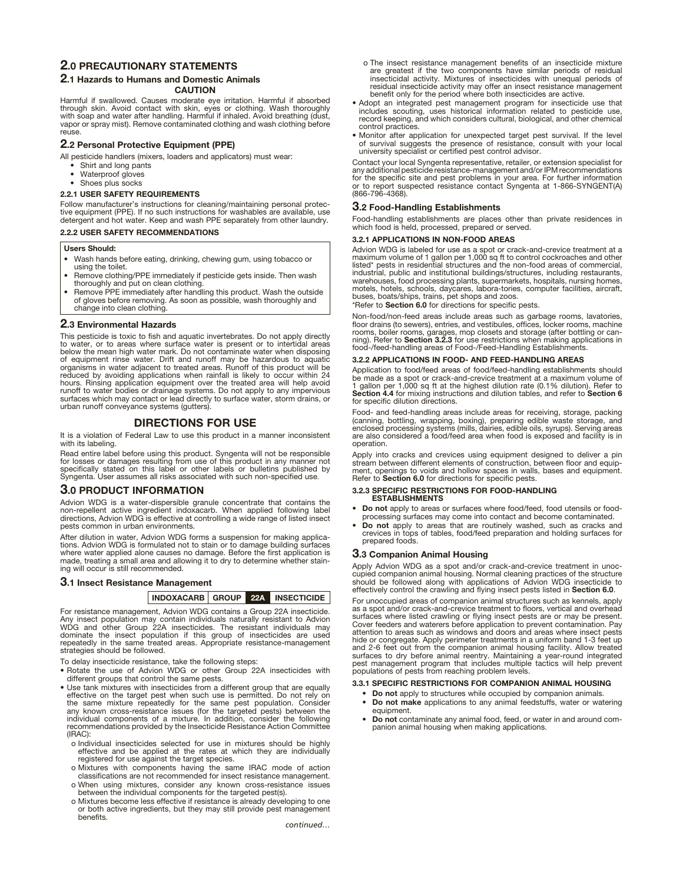## **2.0 PRECAUTIONARY STATEMENTS**

#### **2.1 Hazards to Humans and Domestic Animals**

**CAUTION**

Harmful if swallowed. Causes moderate eye irritation. Harmful if absorbed through skin. Avoid contact with skin, eyes or clothing. Wash thoroughly with soap and water after handling. Harmful if inhaled. Avoid breathing (dust, vapor or spray mist). Remove contaminated clothing and wash clothing before reuse.

#### **2.2 Personal Protective Equipment (PPE)**

All pesticide handlers (mixers, loaders and applicators) must wear:

- Shirt and long pants
- Waterproof gloves
- Shoes plus socks

#### **2.2.1 USER SAFETY REQUIREMENTS**

Follow manufacturer's instructions for cleaning/maintaining personal protec-<br>tive equipment (PPE). If no such instructions for washables are available, use<br>detergent and hot water. Keep and wash PPE separately from other l

#### **2.2.2 USER SAFETY RECOMMENDATIONS**

#### **Users Should:**

- Wash hands before eating, drinking, chewing gum, using tobacco or using the toilet.
- Remove clothing/PPE immediately if pesticide gets inside. Then wash thoroughly and put on clean clothing.
- Remove PPE immediately after handling this product. Wash the outside of gloves before removing. As soon as possible, wash thoroughly and change into clean clothing.

#### **2.3 Environmental Hazards**

This pesticide is toxic to fish and aquatic invertebrates. Do not apply directly to water, or to areas where surface water is present or to intertidal areas below the mean high water mark. Do not contaminate water when disposing of equipment rinse water. Drift and runoff may be hazardous to aquatic organisms in water adjacent to treated areas. Runoff of this product will be reduced by avoiding applications when rainfall is likely to occur within 24 hours. Rinsing application equipment over the treated area will help avoid runoff to water bodies or drainage systems. Do not apply to any impervious surfaces which may contact or lead directly to surface water, storm drains, or urban runoff conveyance systems (gutters).

#### **DIRECTIONS FOR USE**

It is a violation of Federal Law to use this product in a manner inconsistent with its labeling.

Read entire label before using this product. Syngenta will not be responsible<br>for losses or damages resulting from use of this product in any manner not<br>specifically stated on this label or other labels or bulletins publis Syngenta. User assumes all risks associated with such non -specified use.

#### **3.0 PRODUCT INFORMATION**

Advion WDG is a water-dispersible granule concentrate that contains the<br>non-repellent active ingredient indoxacarb. When applied following label<br>directions, Advion WDG is effective at controlling a wide range of listed ins pests common in urban environments.

After dilution in water, Advion WDG forms a suspension for making applications. Advion WDG is formulated not to stain or to damage building surfaces where water applied alone causes no damage. Before the first application is made, treating a small area and allowing it to dry to determine whether stain-ing will occur is still recommended.

#### **3.1 Insect Resistance Management**

#### **INDOXACARB GROUP 22A INSECTICIDE**

For resistance management, Advion WDG contains a Group 22A insecticide. Any insect population may contain individuals naturally resistant to Advion WDG and other Group 22A insecticides. The resistant individuals may dominate the insect population if this group of insecticides are used repeatedly in the same treated areas. Appropriate resistance-management strategies should be followed.

To delay insecticide resistance, take the following steps:

- Rotate the use of Advion WDG or other Group 22A insecticides with different groups that control the same pests.
- Use tank mixtures with insecticides from a different group that are equally effective on the target pest when such use is permitted. Do not rely on the same mixture repeatedly for the same pest population. Consider<br>any known cross-resistance issues (for the targeted pests) between the<br>individual components of a mixture. In addition, consider the following<br>recommendati (IRAC):
	- o Individual insecticides selected for use in mixtures should be highly effective and be applied at the rates at which they are individually registered for use against the target species.
	- o Mixtures with components having the same IRAC mode of action classifications are not recommended for insect resistance management.
	- o When using mixtures, consider any known cross-resistance issues between the individual components for the targeted pest(s).
	- o Mixtures become less effective if resistance is already developing to one or both active ingredients, but they may still provide pest management benefits.
- o The insect resistance management benefits of an insecticide mixture are greatest if the two components have similar periods of residual insecticidal activity. Mixtures of insecticides with unequal periods of residual insecticide activity may offer an insect resistance management benefit only for the period where both insecticides are active.
- Adopt an integrated pest management program for insecticide use that includes scouting, uses historical information related to pesticide use, record keeping, and which considers cultural, biological, and other chemical control practices.
- Monitor after application for unexpected target pest survival. If the level of survival suggests the presence of resistance, consult with your local university specialist or certified pest control advisor.

Contact your local Syngenta representative, retailer, or extension specialist for any additional pesticide resistance-management and/or IPM recommendations for the specific site and pest problems in your area. For further information or to report suspected resistance contact Syngenta at 1-866-SYNGENT(A) (866-796-4368).

#### **3.2 Food-Handling Establishments**

Food-handling establishments are places other than private residences in which food is held, processed, prepared or served.

#### **3.2.1 APPLICATIONS IN NON-FOOD AREAS**

Advion WDG is labeled for use as a spot or crack-and-crevice treatment at a maximum volume of 1 gallon per 1,000 sq ft to control cockroaches and other listed\* pests in residential structures and the non- food areas of commercial, industrial, public and institutional buildings/structures, including restaurants, warehouses, food processing plants, supermarkets, hospitals, nursing homes, motels, hotels, schools, daycares, labora-tories, computer facilities, aircraft, buses, boats/ships, trains, pet shops and zoos.

\*Refer to **Section 6.0** for directions for specific pests.

Non-food/non -feed areas include areas such as garbage rooms, lavatories, floor drains (to sewers), entries, and vestibules, offices, locker rooms, machine rooms, boiler rooms, garages, mop closets and storage (after bottling or can-ning). Refer to **Section 3.2.3** for use restrictions when making applications in food-/feed-handling areas of Food-/Feed-Handling Establishments.

#### **3.2.2 APPLICATIONS IN FOOD- AND FEED-HANDLING AREAS**

Application to food/feed areas of food/feed-handling establishments should be made as a spot or crack-and-crevice treatment at a maximum volume of 1 gallon per 1,000 sq ft at the highest dilution rate (0.1% dilution). Refer to **Section 4.4** for mixing instructions and dilution tables, and refer to **Section 6** for specific dilution directions.

Food- and feed-handling areas include areas for receiving, storage, packing (canning, bottling, wrapping, boxing), preparing edible waste storage, and<br>enclosed processing systems (mills, dairies, edible oils, syrups). Serving areas<br>are also considered a food/feed area when food is exposed and faci operation.

Apply into cracks and crevices using equipment designed to deliver a pin stream between different elements of construction, between floor and equipment, openings to voids and hollow spaces in walls, bases and equipment. Refer to **Section 6.0** for directions for specific pests.

# **3.2.3 SPECIFIC RESTRICTIONS FOR FOOD-HANDLING ESTABLISHMENTS**

- **Do not** apply to areas or surfaces where food/feed, food utensils or food-processing surfaces may come into contact and become contaminated.
- **Do not** apply to areas that are routinely washed, such as cracks and crevices in tops of tables, food/feed preparation and holding surfaces for prepared foods.

#### **3.3 Companion Animal Housing**

Apply Advion WDG as a spot and/or crack-and-crevice treatment in unoccupied companion animal housing. Normal cleaning practices of the structure<br>should be followed along with applications of Advion WDG insecticide to<br>effectively control the crawling and flying insect pests listed in **Sectio** 

For unoccupied areas of companion animal structures such as kennels, apply as a spot and/or crack-and-crevice treatment to floors, vertical and overhead<br>surfaces where listed crawling or flying insect pests are or may be present.<br>Cover feeders and waterers before application to prevent contaminat attention to areas such as windows and doors and areas where insect pests<br>hide or congregate. Apply perimeter treatments in a uniform band 1-3 feet up<br>and 2-6 feet out from the companion animal housing facility. Allow trea surfaces to dry before animal reentry. Maintaining a year-round integrated pest management program that includes multiple tactics will help prevent populations of pests from reaching problem levels.

#### **3.3.1 SPECIFIC RESTRICTIONS FOR COMPANION ANIMAL HOUSING**

- **Do not** apply to structures while occupied by companion animals.
- **Do not make** applications to any animal feedstuffs, water or watering equipment.
- **Do not** contaminate any animal food, feed, or water in and around companion animal housing when making applications.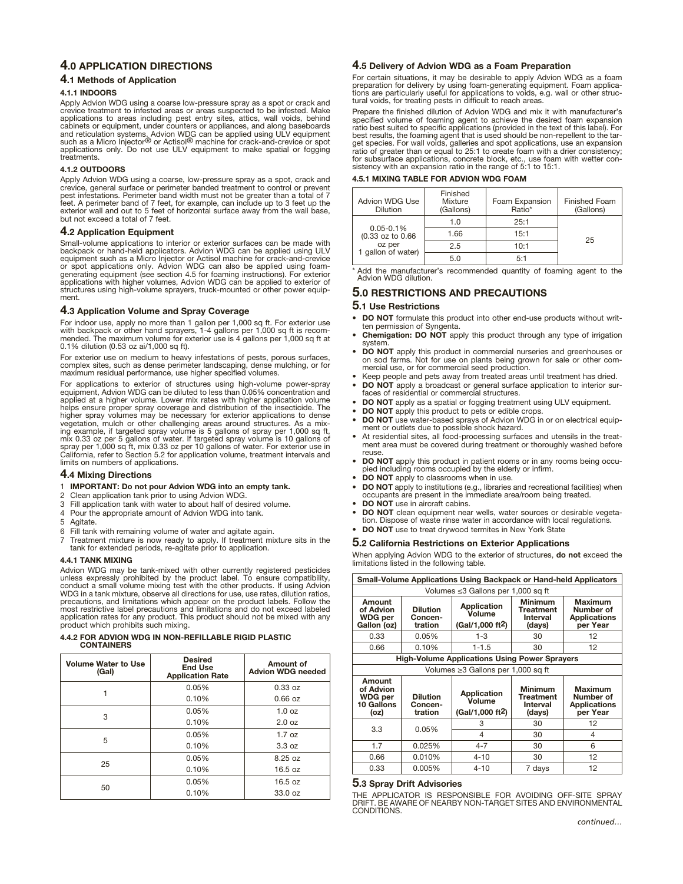### **4.0 APPLICATION DIRECTIONS**

#### **4.1 Methods of Application**

#### **4.1.1 INDOORS**

Apply Advion WDG using a coarse low-pressure spray as a spot or crack and crevice treatment to infested areas or areas suspected to be infested. Make applications to areas including pest entry sites, attics, wall voids, behind<br>cabinets or equipment, under counters or appliances, and along baseboards<br>and reticulation systems<u>.</u> Advion WDG can be applied using ULV equipme such as a Micro Injector<sup>®</sup> or Actisol<sup>®</sup> machine for crack-and-crevice or spot applications only. Do not use ULV equipment to make spatial or fogging treatments.

#### **4.1.2 OUTDOORS**

Apply Advion WDG using a coarse, low-pressure spray as a spot, crack and crevice, general surface or perimeter banded treatment to control or prevent pest infestations. Perimeter band width must not be greater than a total of 7 feet. A perimeter band of 7 feet, for example, can include up to 3 feet up the exterior wall and out to 5 feet of horizontal surface away from the wall base, but not exceed a total of 7 feet.

#### **4.2 Application Equipment**

Small-volume applications to interior or exterior surfaces can be made with backpack or hand-held applicators. Advion WDG can be applied using ULV equipment such as a Micro Injector or Actisol machine for crack-and-crevice or spot applications only. Advion WDG can also be applied using foam-generating equipment (see section 4.5 for foaming instructions). For exterior applications with higher volumes, Advion WDG can be applied to exterior of structures using high-volume sprayers, truck-mounted or other power equipment.

#### **4.3 Application Volume and Spray Coverage**

For indoor use, apply no more than 1 gallon per 1,000 sq ft. For exterior use<br>with backpack or other hand sprayers, 1-4 gallons per 1,000 sq ft is recom-<br>mended. The maximum volume for exterior use is 4 gallons per 1,000 s 0.1% dilution (0.53 oz ai/1,000 sq ft).

For exterior use on medium to heavy infestations of pests, porous surfaces, complex sites, such as dense perimeter landscaping, dense mulching, or for maximum residual performance, use higher specified volumes.

For applications to exterior of structures using high-volume power-spray equipment, Advion WDG can be diluted to less than 0.05% concentration and applied at a higher volume. Lower mix rates with higher application volume helps ensure proper spray coverage and distribution of the insecticide. The higher spray volumes may be necessary for exterior applications to dense<br>vegetation, mulch or other challenging areas around structures. As a mix-<br>ing example, if targeted spray volume is 5 gallons of spray per 1,000 sq ft mix 0.33 oz per 5 gallons of water. If targeted spray volume is 10 gallons of<br>spray per 1,000 sq ft, mix 0.33 oz per 10 gallons of water. For exterior use in<br>California, refer to Section 5.2 for application volume, treatme limits on numbers of applications.

#### **4.4 Mixing Directions**

- 1 **IMPORTANT: Do not pour Advion WDG into an empty tank.**
- 2 Clean application tank prior to using Advion WDG.
- 3 Fill application tank with water to about half of desired volume.<br>4 Pour the appropriate amount of Advion WDG into tank.
- Pour the appropriate amount of Advion WDG into tank.
- 5 Agitate.<br>6 Fill tank
- Fill tank with remaining volume of water and agitate again.
- 7 Treatment mixture is now ready to apply. If treatment mixture sits in the tank for extended periods, re -agitate prior to application.

#### **4.4.1 TANK MIXING**

Advion WDG may be tank-mixed with other currently registered pesticides<br>unless expressly prohibited by the product label. To ensure compatibility,<br>conduct a small volume mixing test with the other products. If using Advion WDG in a tank mixture, observe all directions for use, use rates, dilution ratios, precautions, and limitations which appear on the product labels. Follow the most restrictive label precautions and limitations and do not exceed labeled application rates for any product. This product should not be mixed with any product which prohibits such mixing.

#### **4.4.2 FOR ADVION WDG IN NON-REFILLABLE RIGID PLASTIC CONTAINERS**

| <b>Volume Water to Use</b><br>(Gal) | <b>Desired</b><br><b>End Use</b><br><b>Application Rate</b> | Amount of<br><b>Advion WDG needed</b> |
|-------------------------------------|-------------------------------------------------------------|---------------------------------------|
|                                     | 0.05%                                                       | 0.33 oz                               |
|                                     | 0.10%                                                       | $0.66$ oz                             |
| 3                                   | 0.05%                                                       | 1.0 oz                                |
|                                     | 0.10%                                                       | 2.0 oz                                |
|                                     | 0.05%                                                       | 1.7 oz                                |
| 5                                   | 0.10%                                                       | 3.3 oz                                |
| 25                                  | 0.05%                                                       | 8.25 oz                               |
|                                     | 0.10%                                                       | 16.5 oz                               |
|                                     | 0.05%                                                       | 16.5 oz                               |
| 50                                  | 0.10%                                                       | 33.0 oz                               |

#### **4.5 Delivery of Advion WDG as a Foam Preparation**

For certain situations, it may be desirable to apply Advion WDG as a foam preparation for delivery by using foam-generating equipment. Foam applica-tions are particularly useful for applications to voids, e.g. wall or other structural voids, for treating pests in difficult to reach areas.

Prepare the finished dilution of Advion WDG and mix it with manufacturer's specified volume of foaming agent to achieve the desired foam expansion ratio best suited to specific applications (provided in the text of this label). For<br>best results, the foaming agent that is used should be non-repellent to the tar-<br>get species. For wall voids, galleries and spot applicat

#### **4.5.1 MIXING TABLE FOR ADVION WDG FOAM**

| Advion WDG Use<br><b>Dilution</b> | Finished<br>Mixture<br>(Gallons) | Foam Expansion<br>Ratio* | <b>Finished Foam</b><br>(Gallons) |
|-----------------------------------|----------------------------------|--------------------------|-----------------------------------|
|                                   | 1.0                              | 25:1                     |                                   |
| $0.05 - 0.1%$<br>(0.33 oz to 0.66 | 1.66                             | 15:1                     | 25                                |
| oz per<br>1 gallon of water)      | 2.5                              | 10:1                     |                                   |
|                                   | 5 O                              | 5:1                      |                                   |

Add the manufacturer's recommended quantity of foaming agent to the Advion WDG dilution.

### **5.0 RESTRICTIONS AND PRECAUTIONS**

#### **5.1 Use Restrictions**

- **DO NOT** formulate this product into other end-use products without written permission of Syngenta.
- **Chemigation: DO NOT** apply this product through any type of irrigation system.
- **DO NOT** apply this product in commercial nurseries and greenhouses or on sod farms. Not for use on plants being grown for sale or other com-mercial use, or for commercial seed production.
- Keep people and pets away from treated areas until treatment has dried. **• DO NOT** apply a broadcast or general surface application to interior sur-
- faces of residential or commercial structures. **• DO NOT** apply as a spatial or fogging treatment using ULV equipment.
- **DO NOT** apply this product to pets or edible crops.
- **DO NOT** use water-based sprays of Advion WDG in or on electrical equip-ment or outlets due to possible shock hazard.
- At residential sites, all food-processing surfaces and utensils in the treat-ment area must be covered during treatment or thoroughly washed before reuse.
- **DO NOT** apply this product in patient rooms or in any rooms being occupied including rooms occupied by the elderly or infirm.
- **DO NOT** apply to classrooms when in use.
- **DO NOT** apply to institutions (e.g., libraries and recreational facilities) when occupants are present in the immediate area/room being treated.
- **DO NOT** use in aircraft cabins.
- **DO NOT** clean equipment near wells, water sources or desirable vegeta-
- tion. Dispose of waste rinse water in accordance with local regulations. **• DO NOT** use to treat drywood termites in New York State

# **5.2 California Restrictions on Exterior Applications**

When applying Advion WDG to the exterior of structures, **do not** exceed the limitations listed in the following table.

| Small-Volume Applications Using Backpack or Hand-held Applicators |                                                      |                                                              |                                                          |                                                                |
|-------------------------------------------------------------------|------------------------------------------------------|--------------------------------------------------------------|----------------------------------------------------------|----------------------------------------------------------------|
|                                                                   | Volumes ≤3 Gallons per 1,000 sq ft                   |                                                              |                                                          |                                                                |
| Amount<br>of Advion<br><b>WDG</b> per<br>Gallon (oz)              | <b>Dilution</b><br>Concen-<br>tration                | <b>Application</b><br>Volume<br>(Gal/1,000 ft <sup>2</sup> ) | <b>Minimum</b><br><b>Treatment</b><br>Interval<br>(days) | <b>Maximum</b><br>Number of<br><b>Applications</b><br>per Year |
| 0.33                                                              | 0.05%                                                | $1 - 3$                                                      | 30                                                       | 12                                                             |
| 0.66                                                              | 0.10%                                                | $1 - 1.5$                                                    | 30                                                       | 12                                                             |
|                                                                   | <b>High-Volume Applications Using Power Sprayers</b> |                                                              |                                                          |                                                                |
|                                                                   |                                                      | Volumes ≥3 Gallons per 1,000 sq ft                           |                                                          |                                                                |
| Amount<br>of Advion<br><b>WDG per</b><br>10 Gallons<br>(oz)       | <b>Dilution</b><br>Concen-<br>tration                | <b>Application</b><br>Volume<br>(Gal/1.000 ft <sup>2</sup> ) | <b>Minimum</b><br><b>Treatment</b><br>Interval<br>(days) | <b>Maximum</b><br>Number of<br><b>Applications</b><br>per Year |
|                                                                   |                                                      |                                                              |                                                          |                                                                |
|                                                                   |                                                      | 3                                                            | 30                                                       | 12                                                             |
| 3.3                                                               | 0.05%                                                | 4                                                            | 30                                                       | 4                                                              |
| 1.7                                                               | 0.025%                                               | $4 - 7$                                                      | 30                                                       | 6                                                              |
| 0.66                                                              | 0.010%                                               | $4 - 10$                                                     | 30                                                       | 12                                                             |

#### **5.3 Spray Drift Advisories**

THE APPLICATOR IS RESPONSIBLE FOR AVOIDING OFF-SITE SPRAY DRIFT. BE AWARE OF NEARBY NON-TARGET SITES AND ENVIRONMENTAL CONDITIONS.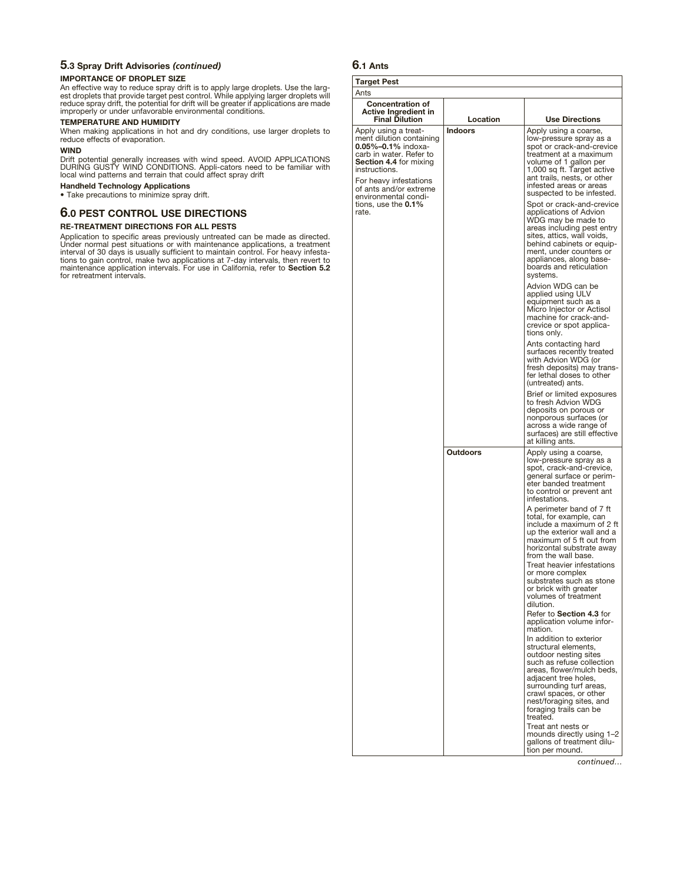# **5.3 Spray Drift Advisories** *(continued)*

#### **IMPORTANCE OF DROPLET SIZE**

An effective way to reduce spray drift is to apply large droplets. Use the larg-<br>est droplets that provide target pest control. While applying larger droplets will<br>reduce spray drift, the potential for drift will be greate

### **TEMPERATURE AND HUMIDITY**

When making applications in hot and dry conditions, use larger droplets to reduce effects of evaporation.

#### **WIND**

Drift potential generally increases with wind speed. AVOID APPLICATIONS<br>DURING GUSTY WIND CONDITIONS. Appli-cators need to be familiar with<br>local wind patterns and terrain that could affect spray drift

**Handheld Technology Applications**

• Take precautions to minimize spray drift.

### **6.0 PEST CONTROL USE DIRECTIONS**

#### **RE-TREATMENT DIRECTIONS FOR ALL PESTS**

Application to specific areas previously untreated can be made as directed. Under normal pest situations or with maintenance applications, a treatment interval of 30 days is usually sufficient to maintain control. For heavy infesta-<br>tions to gain control, make two applications at 7-day intervals, then revert to<br>maintenance application intervals. For use in California, re for retreatment intervals.

# **6.1 Ants**

#### **Targe** Ants

| <b>Target Pest</b>                                                                                                                                                                                                              |                |                                                                                                                                                                                                                                                                 |
|---------------------------------------------------------------------------------------------------------------------------------------------------------------------------------------------------------------------------------|----------------|-----------------------------------------------------------------------------------------------------------------------------------------------------------------------------------------------------------------------------------------------------------------|
| Ants                                                                                                                                                                                                                            |                |                                                                                                                                                                                                                                                                 |
|                                                                                                                                                                                                                                 |                |                                                                                                                                                                                                                                                                 |
| <b>Concentration of</b><br><b>Active Ingredient in</b><br><b>Final Dilution</b>                                                                                                                                                 | Location       | <b>Use Directions</b>                                                                                                                                                                                                                                           |
| Apply using a treat-<br>ment dilution containing<br>0.05%-0.1% indoxa-<br>carb in water. Refer to<br><b>Section 4.4 for mixing</b><br>instructions.<br>For heavy infestations<br>of ants and/or extreme<br>environmental condi- | <b>Indoors</b> | Apply using a coarse,<br>low-pressure spray as a<br>spot or crack-and-crevice<br>treatment at a maximum<br>volume of 1 gallon per<br>1,000 sq ft. Target active<br>ant trails, nests, or other<br>infested areas or areas<br>suspected to be infested.          |
| tions, use the <b>0.1%</b><br>rate.                                                                                                                                                                                             |                | Spot or crack-and-crevice<br>applications of Advion<br>WDG may be made to<br>areas including pest entry<br>sites, attics, wall voids,<br>behind cabinets or equip-<br>ment, under counters or<br>appliances, along base-<br>boards and reticulation<br>systems. |
|                                                                                                                                                                                                                                 |                | Advion WDG can be<br>applied using ULV<br>equipment such as a<br>Micro Injector or Actisol<br>machine for crack-and-<br>crevice or spot applica-<br>tions only.                                                                                                 |
|                                                                                                                                                                                                                                 |                | Ants contacting hard<br>surfaces recently treated<br>with Advion WDG (or<br>fresh deposits) may trans-<br>fer lethal doses to other<br>(untreated) ants.                                                                                                        |
|                                                                                                                                                                                                                                 |                | Brief or limited exposures<br>to fresh Advion WDG<br>deposits on porous or<br>nonporous surfaces (or<br>across a wide range of<br>surfaces) are still effective<br>at killing ants.                                                                             |
|                                                                                                                                                                                                                                 | Outdoors       | Apply using a coarse,<br>low-pressure spray as a<br>spot, crack-and-crevice,<br>general surface or perim-<br>eter banded treatment<br>to control or prevent ant<br>infestations.                                                                                |
|                                                                                                                                                                                                                                 |                | A perimeter band of 7 ft<br>total, for example, can<br>include a maximum of 2 ft<br>up the exterior wall and a<br>maximum of 5 ft out from<br>horizontal substrate away<br>from the wall base.                                                                  |
|                                                                                                                                                                                                                                 |                | Treat heavier infestations<br>or more complex<br>substrates such as stone<br>or brick with greater<br>volumes of treatment<br>dilution.<br>Refer to Section 4.3 for                                                                                             |
|                                                                                                                                                                                                                                 |                | application volume infor-<br>mation.<br>In addition to exterior                                                                                                                                                                                                 |
|                                                                                                                                                                                                                                 |                | structural elements,<br>outdoor nesting sites<br>such as refuse collection<br>areas, flower/mulch beds,<br>adjacent tree holes,<br>surrounding turf areas,<br>crawl spaces, or other<br>nest/foraging sites, and<br>foraging trails can be<br>treated.          |
|                                                                                                                                                                                                                                 |                | Treat ant nests or<br>mounds directly using 1-2<br>gallons of treatment dilu-<br>tion per mound.                                                                                                                                                                |

*continued…*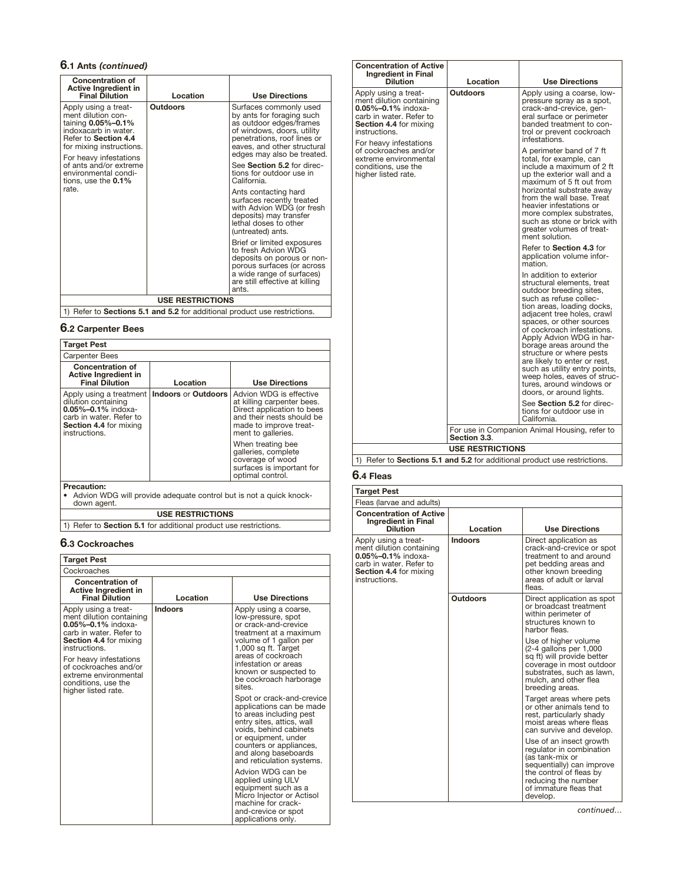# **6.1 Ants** *(continued)*

| Concentration of<br>Active Ingredient in<br><b>Final Dilution</b>                                                                                                      | Location        | <b>Use Directions</b>                                                                                                                                                                                    |
|------------------------------------------------------------------------------------------------------------------------------------------------------------------------|-----------------|----------------------------------------------------------------------------------------------------------------------------------------------------------------------------------------------------------|
| Apply using a treat-<br>ment dilution con-<br>taining 0.05%-0.1%<br>indoxacarb in water.<br>Refer to Section 4.4<br>for mixing instructions.<br>For heavy infestations | <b>Outdoors</b> | Surfaces commonly used<br>by ants for foraging such<br>as outdoor edges/frames<br>of windows, doors, utility<br>penetrations, roof lines or<br>eaves, and other structural<br>edges may also be treated. |
| of ants and/or extreme<br>environmental condi-<br>tions, use the 0.1%                                                                                                  |                 | See Section 5.2 for direc-<br>tions for outdoor use in<br>California.                                                                                                                                    |
| rate.                                                                                                                                                                  |                 | Ants contacting hard<br>surfaces recently treated<br>with Advion WDG (or fresh<br>deposits) may transfer<br>lethal doses to other<br>(untreated) ants.                                                   |
|                                                                                                                                                                        |                 | Brief or limited exposures<br>to fresh Advion WDG<br>deposits on porous or non-<br>porous surfaces (or across<br>a wide range of surfaces)<br>are still effective at killing<br>ants.                    |
| <b>USE RESTRICTIONS</b>                                                                                                                                                |                 |                                                                                                                                                                                                          |
|                                                                                                                                                                        |                 | 1) Poter to <b>Sections 5.1 and 5.2</b> for additional product use restrictions                                                                                                                          |

1) Refer to **Sections 5.1 and 5.2** for additional product use restrictions.

# **6.2 Carpenter Bees**

| <b>Target Pest</b>                                                                                                                               |                            |                                                                                                                                                                  |
|--------------------------------------------------------------------------------------------------------------------------------------------------|----------------------------|------------------------------------------------------------------------------------------------------------------------------------------------------------------|
| <b>Carpenter Bees</b>                                                                                                                            |                            |                                                                                                                                                                  |
| <b>Concentration of</b><br>Active Ingredient in<br><b>Final Dilution</b>                                                                         | Location                   | <b>Use Directions</b>                                                                                                                                            |
| Apply using a treatment<br>dilution containing<br>$0.05\% - 0.1\%$ indoxa-<br>carb in water. Refer to<br>Section 4.4 for mixing<br>instructions. | <b>Indoors or Outdoors</b> | Advion WDG is effective<br>at killing carpenter bees.<br>Direct application to bees<br>and their nests should be<br>made to improve treat-<br>ment to galleries. |
|                                                                                                                                                  |                            | When treating bee<br>galleries, complete<br>coverage of wood<br>surfaces is important for<br>optimal control.                                                    |
| <b>Precaution:</b><br>down agent.                                                                                                                |                            | Advion WDG will provide adequate control but is not a quick knock-                                                                                               |

**USE RESTRICTIONS**

1) Refer to **Section 5.1** for additional product use restrictions.

# **6.3 Cockroaches**

| <b>Target Pest</b>                                                                                                                                                                                                                                                                  |                |                                                                                                                                                                                                                                                                                                                                                                                                                                                                                                                                                                                                                                                                              |
|-------------------------------------------------------------------------------------------------------------------------------------------------------------------------------------------------------------------------------------------------------------------------------------|----------------|------------------------------------------------------------------------------------------------------------------------------------------------------------------------------------------------------------------------------------------------------------------------------------------------------------------------------------------------------------------------------------------------------------------------------------------------------------------------------------------------------------------------------------------------------------------------------------------------------------------------------------------------------------------------------|
| Cockroaches                                                                                                                                                                                                                                                                         |                |                                                                                                                                                                                                                                                                                                                                                                                                                                                                                                                                                                                                                                                                              |
| <b>Concentration of</b><br>Active Ingredient in<br><b>Final Dilution</b>                                                                                                                                                                                                            | Location       | <b>Use Directions</b>                                                                                                                                                                                                                                                                                                                                                                                                                                                                                                                                                                                                                                                        |
| Apply using a treat-<br>ment dilution containing<br>$0.05\% - 0.1\%$ indoxa-<br>carb in water. Refer to<br><b>Section 4.4 for mixing</b><br>instructions.<br>For heavy infestations<br>of cockroaches and/or<br>extreme environmental<br>conditions, use the<br>higher listed rate. | <b>Indoors</b> | Apply using a coarse,<br>low-pressure, spot<br>or crack-and-crevice<br>treatment at a maximum<br>volume of 1 gallon per<br>1,000 sq ft. Target<br>areas of cockroach<br>infestation or areas<br>known or suspected to<br>be cockroach harborage<br>sites.<br>Spot or crack-and-crevice<br>applications can be made<br>to areas including pest<br>entry sites, attics, wall<br>voids, behind cabinets<br>or equipment, under<br>counters or appliances,<br>and along baseboards<br>and reticulation systems.<br>Advion WDG can be<br>applied using ULV<br>equipment such as a<br>Micro Injector or Actisol<br>machine for crack-<br>and-crevice or spot<br>applications only. |

| <b>Concentration of Active</b><br>Ingredient in Final<br><b>Dilution</b>                                                                                                             | Location                | <b>Use Directions</b>                                                                                                                                                                                                                                                                                                                                                                                                                                                       |
|--------------------------------------------------------------------------------------------------------------------------------------------------------------------------------------|-------------------------|-----------------------------------------------------------------------------------------------------------------------------------------------------------------------------------------------------------------------------------------------------------------------------------------------------------------------------------------------------------------------------------------------------------------------------------------------------------------------------|
| Apply using a treat-<br>ment dilution containing<br><b>0.05%-0.1%</b> indoxa-<br>carb in water. Refer to<br><b>Section 4.4</b> for mixina<br>instructions.<br>For heavy infestations | <b>Outdoors</b>         | Apply using a coarse, low-<br>pressure spray as a spot,<br>crack-and-crevice, gen-<br>eral surface or perimeter<br>banded treatment to con-<br>trol or prevent cockroach<br>infestations.                                                                                                                                                                                                                                                                                   |
| of cockroaches and/or<br>extreme environmental<br>conditions, use the<br>higher listed rate.                                                                                         |                         | A perimeter band of 7 ft<br>total, for example, can<br>include a maximum of 2 ft<br>up the exterior wall and a<br>maximum of 5 ft out from<br>horizontal substrate away<br>from the wall base. Treat<br>heavier infestations or<br>more complex substrates,<br>such as stone or brick with<br>areater volumes of treat-<br>ment solution.                                                                                                                                   |
|                                                                                                                                                                                      |                         | Refer to Section 4.3 for<br>application volume infor-<br>mation.                                                                                                                                                                                                                                                                                                                                                                                                            |
|                                                                                                                                                                                      |                         | In addition to exterior<br>structural elements, treat<br>outdoor breeding sites,<br>such as refuse collec-<br>tion areas, loading docks,<br>adjacent tree holes, crawl<br>spaces, or other sources<br>of cockroach infestations.<br>Apply Advion WDG in har-<br>borage areas around the<br>structure or where pests<br>are likely to enter or rest,<br>such as utility entry points,<br>weep holes, eaves of struc-<br>tures, around windows or<br>doors, or around lights. |
|                                                                                                                                                                                      |                         | See Section 5.2 for direc-<br>tions for outdoor use in<br>California.                                                                                                                                                                                                                                                                                                                                                                                                       |
|                                                                                                                                                                                      | Section 3.3.            | For use in Companion Animal Housing, refer to                                                                                                                                                                                                                                                                                                                                                                                                                               |
|                                                                                                                                                                                      | <b>USE RESTRICTIONS</b> |                                                                                                                                                                                                                                                                                                                                                                                                                                                                             |

1) Refer to **Sections 5.1 and 5.2** for additional product use restrictions.

# **6.4 Fleas**

| <b>Target Pest</b>                                                                                                                                  |                 |                                                                                                                                                                                             |
|-----------------------------------------------------------------------------------------------------------------------------------------------------|-----------------|---------------------------------------------------------------------------------------------------------------------------------------------------------------------------------------------|
| Fleas (larvae and adults)                                                                                                                           |                 |                                                                                                                                                                                             |
| <b>Concentration of Active</b><br><b>Ingredient in Final</b><br><b>Dilution</b>                                                                     | Location        | <b>Use Directions</b>                                                                                                                                                                       |
| Apply using a treat-<br>ment dilution containing<br><b>0.05%–0.1%</b> indoxa-<br>carb in water. Refer to<br>Section 4.4 for mixing<br>instructions. | <b>Indoors</b>  | Direct application as<br>crack-and-crevice or spot<br>treatment to and around<br>pet bedding areas and<br>other known breeding<br>areas of adult or larval<br>fleas.                        |
|                                                                                                                                                     | <b>Outdoors</b> | Direct application as spot<br>or broadcast treatment<br>within perimeter of<br>structures known to<br>harbor fleas                                                                          |
|                                                                                                                                                     |                 | Use of higher volume<br>$(2-4$ gallons per 1,000<br>sq ft) will provide better<br>coverage in most outdoor<br>substrates, such as lawn,<br>mulch, and other flea<br>breeding areas.         |
|                                                                                                                                                     |                 | Target areas where pets<br>or other animals tend to<br>rest, particularly shady<br>moist areas where fleas<br>can survive and develop.                                                      |
|                                                                                                                                                     |                 | Use of an insect growth<br>regulator in combination<br>(as tank-mix or<br>sequentially) can improve<br>the control of fleas by<br>reducing the number<br>of immature fleas that<br>develop. |

*continued…*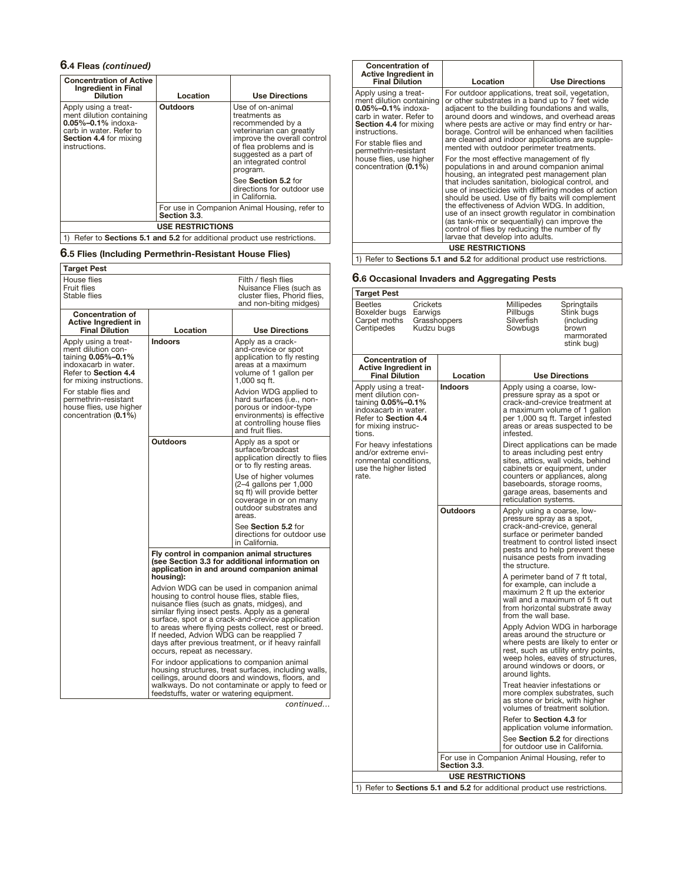# **6.4 Fleas** *(continued)*

| <b>Concentration of Active</b><br><b>Ingredient in Final</b><br><b>Dilution</b>                                                                    | Location                | <b>Use Directions</b>                                                                                                                                                                                                                                                             |
|----------------------------------------------------------------------------------------------------------------------------------------------------|-------------------------|-----------------------------------------------------------------------------------------------------------------------------------------------------------------------------------------------------------------------------------------------------------------------------------|
| Apply using a treat-<br>ment dilution containing<br>$0.05\% - 0.1\%$ indoxa-<br>carb in water. Refer to<br>Section 4.4 for mixing<br>instructions. | <b>Outdoors</b>         | Use of on-animal<br>treatments as<br>recommended by a<br>veterinarian can greatly<br>improve the overall control<br>of flea problems and is<br>suggested as a part of<br>an integrated control<br>program.<br>See Section 5.2 for<br>directions for outdoor use<br>in California. |
|                                                                                                                                                    | Section 3.3.            | For use in Companion Animal Housing, refer to                                                                                                                                                                                                                                     |
|                                                                                                                                                    | <b>USE RESTRICTIONS</b> |                                                                                                                                                                                                                                                                                   |
|                                                                                                                                                    |                         | Refer to Sections 5.1 and 5.2 for additional product use restrictions.                                                                                                                                                                                                            |

# **6.5 Flies (Including Permethrin-Resistant House Flies)**

| Target Pest                                                                                                                                                                                                                                     |                                                                                                                                                                                                                                                                                                                                                                                                                                                                                                                                                                                                        |                                                                                                                                                             |
|-------------------------------------------------------------------------------------------------------------------------------------------------------------------------------------------------------------------------------------------------|--------------------------------------------------------------------------------------------------------------------------------------------------------------------------------------------------------------------------------------------------------------------------------------------------------------------------------------------------------------------------------------------------------------------------------------------------------------------------------------------------------------------------------------------------------------------------------------------------------|-------------------------------------------------------------------------------------------------------------------------------------------------------------|
| House flies<br><b>Fruit flies</b><br>Stable flies                                                                                                                                                                                               |                                                                                                                                                                                                                                                                                                                                                                                                                                                                                                                                                                                                        | Filth / flesh flies<br>Nuisance Flies (such as<br>cluster flies, Phorid flies,<br>and non-biting midges)                                                    |
| <b>Concentration of</b><br><b>Active Ingredient in</b><br><b>Final Dilution</b>                                                                                                                                                                 | Location                                                                                                                                                                                                                                                                                                                                                                                                                                                                                                                                                                                               | <b>Use Directions</b>                                                                                                                                       |
| Apply using a treat-<br>ment dilution con-<br>taining 0.05%-0.1%<br>indoxacarb in water.<br>Refer to Section 4.4<br>for mixing instructions.<br>For stable flies and<br>permethrin-resistant<br>house flies, use higher<br>concentration (0.1%) | <b>Indoors</b>                                                                                                                                                                                                                                                                                                                                                                                                                                                                                                                                                                                         | Apply as a crack-<br>and-crevice or spot<br>application to fly resting<br>areas at a maximum<br>volume of 1 gallon per<br>1,000 sq ft.                      |
|                                                                                                                                                                                                                                                 |                                                                                                                                                                                                                                                                                                                                                                                                                                                                                                                                                                                                        | Advion WDG applied to<br>hard surfaces (i.e., non-<br>porous or indoor-type<br>environments) is effective<br>at controlling house flies<br>and fruit flies. |
|                                                                                                                                                                                                                                                 | <b>Outdoors</b>                                                                                                                                                                                                                                                                                                                                                                                                                                                                                                                                                                                        | Apply as a spot or<br>surface/broadcast<br>application directly to flies<br>or to fly resting areas.                                                        |
|                                                                                                                                                                                                                                                 |                                                                                                                                                                                                                                                                                                                                                                                                                                                                                                                                                                                                        | Use of higher volumes<br>$(2-4$ gallons per 1,000<br>sq ft) will provide better<br>coverage in or on many<br>outdoor substrates and<br>areas.               |
|                                                                                                                                                                                                                                                 |                                                                                                                                                                                                                                                                                                                                                                                                                                                                                                                                                                                                        | See Section 5.2 for<br>directions for outdoor use<br>in California.                                                                                         |
|                                                                                                                                                                                                                                                 | Fly control in companion animal structures<br>(see Section 3.3 for additional information on<br>application in and around companion animal<br>housing):<br>Advion WDG can be used in companion animal<br>housing to control house flies, stable flies,<br>nuisance flies (such as gnats, midges), and<br>similar flying insect pests. Apply as a general<br>surface, spot or a crack-and-crevice application<br>to areas where flying pests collect, rest or breed.<br>If needed, Advion WDG can be reapplied 7<br>days after previous treatment, or if heavy rainfall<br>occurs, repeat as necessary. |                                                                                                                                                             |
|                                                                                                                                                                                                                                                 |                                                                                                                                                                                                                                                                                                                                                                                                                                                                                                                                                                                                        |                                                                                                                                                             |
|                                                                                                                                                                                                                                                 | For indoor applications to companion animal<br>housing structures, treat surfaces, including walls,<br>ceilings, around doors and windows, floors, and<br>walkways. Do not contaminate or apply to feed or<br>feedstuffs, water or watering equipment.                                                                                                                                                                                                                                                                                                                                                 |                                                                                                                                                             |

*continued…*

| <b>Concentration of</b><br>Active Ingredient in<br><b>Final Dilution</b>                                                                                                                           | Location                                                                                                                                                                                                                                                                                                                                                                                                                                                                                                                                         | <b>Use Directions</b> |
|----------------------------------------------------------------------------------------------------------------------------------------------------------------------------------------------------|--------------------------------------------------------------------------------------------------------------------------------------------------------------------------------------------------------------------------------------------------------------------------------------------------------------------------------------------------------------------------------------------------------------------------------------------------------------------------------------------------------------------------------------------------|-----------------------|
| Apply using a treat-<br>ment dilution containing<br>$0.05\% - 0.1\%$ indoxa-<br>carb in water. Refer to<br>Section 4.4 for mixing<br>instructions.<br>For stable flies and<br>permethrin-resistant | For outdoor applications, treat soil, vegetation,<br>or other substrates in a band up to 7 feet wide<br>adjacent to the building foundations and walls,<br>around doors and windows, and overhead areas<br>where pests are active or may find entry or har-<br>borage. Control will be enhanced when facilities<br>are cleaned and indoor applications are supple-<br>mented with outdoor perimeter treatments.                                                                                                                                  |                       |
| house flies, use higher<br>concentration (0.1%)                                                                                                                                                    | For the most effective management of fly<br>populations in and around companion animal<br>housing, an integrated pest management plan<br>that includes sanitation, biological control, and<br>use of insecticides with differing modes of action<br>should be used. Use of fly baits will complement<br>the effectiveness of Advion WDG. In addition,<br>use of an insect growth regulator in combination<br>(as tank-mix or sequentially) can improve the<br>control of flies by reducing the number of fly<br>larvae that develop into adults. |                       |
| <b>USE RESTRICTIONS</b>                                                                                                                                                                            |                                                                                                                                                                                                                                                                                                                                                                                                                                                                                                                                                  |                       |
| 1) Refer to <b>Sections 5.1 and 5.2</b> for additional product use restrictions.                                                                                                                   |                                                                                                                                                                                                                                                                                                                                                                                                                                                                                                                                                  |                       |

# **6.6 Occasional Invaders and Aggregating Pests**

**Target Pest**

٦

| rarger rest                                                                                                                                       |                |                                                                                                                                                                                      |                                                                                                                                                |
|---------------------------------------------------------------------------------------------------------------------------------------------------|----------------|--------------------------------------------------------------------------------------------------------------------------------------------------------------------------------------|------------------------------------------------------------------------------------------------------------------------------------------------|
| <b>Beetles</b><br>Crickets<br>Boxelder bugs<br>Earwigs<br>Carpet moths<br>Grasshoppers<br>Centipedes<br>Kudzu bugs                                |                | Millipedes<br>Pillbugs<br>Silverfish<br>Sowbugs                                                                                                                                      | Springtails<br>Stink bugs<br>(including<br>brown<br>marmorated<br>stink bug)                                                                   |
| <b>Concentration of</b><br>Active Ingredient in<br><b>Final Dilution</b>                                                                          | Location       |                                                                                                                                                                                      | <b>Use Directions</b>                                                                                                                          |
| Apply using a treat-<br>ment dilution con-<br>taining 0.05%-0.1%<br>indoxacarb in water.<br>Refer to Section 4.4<br>for mixing instruc-<br>tions. | <b>Indoors</b> | Apply using a coarse, low-<br>pressure spray as a spot or<br>infested.                                                                                                               | crack-and-crevice treatment at<br>a maximum volume of 1 gallon<br>per 1,000 sq ft. Target infested<br>areas or areas suspected to be           |
| For heavy infestations<br>and/or extreme envi-<br>ronmental conditions,<br>use the higher listed<br>rate.                                         |                | to areas including pest entry<br>cabinets or equipment, under<br>counters or appliances, along<br>baseboards, storage rooms,<br>garage areas, basements and<br>reticulation systems. | Direct applications can be made<br>sites, attics, wall voids, behind                                                                           |
|                                                                                                                                                   | Outdoors       | Apply using a coarse, low-<br>pressure spray as a spot,<br>crack-and-crevice, general<br>surface or perimeter banded<br>nuisance pests from invading<br>the structure.               | treatment to control listed insect<br>pests and to help prevent these                                                                          |
|                                                                                                                                                   |                | A perimeter band of 7 ft total,<br>for example, can include a<br>maximum 2 ft up the exterior<br>from the wall base.                                                                 | wall and a maximum of 5 ft out<br>from horizontal substrate away                                                                               |
|                                                                                                                                                   |                | areas around the structure or<br>around windows or doors, or<br>around lights.                                                                                                       | Apply Advion WDG in harborage<br>where pests are likely to enter or<br>rest, such as utility entry points,<br>weep holes, eaves of structures, |
|                                                                                                                                                   |                | Treat heavier infestations or<br>as stone or brick, with higher                                                                                                                      | more complex substrates, such<br>volumes of treatment solution.                                                                                |
|                                                                                                                                                   |                | Refer to Section 4.3 for                                                                                                                                                             | application volume information.                                                                                                                |
|                                                                                                                                                   |                | See Section 5.2 for directions<br>for outdoor use in California.                                                                                                                     |                                                                                                                                                |
| For use in Companion Animal Housing, refer to<br><b>Section 3.3.</b>                                                                              |                |                                                                                                                                                                                      |                                                                                                                                                |
| <b>USE RESTRICTIONS</b>                                                                                                                           |                |                                                                                                                                                                                      |                                                                                                                                                |

1) Refer to **Sections 5.1 and 5.2** for additional product use restrictions.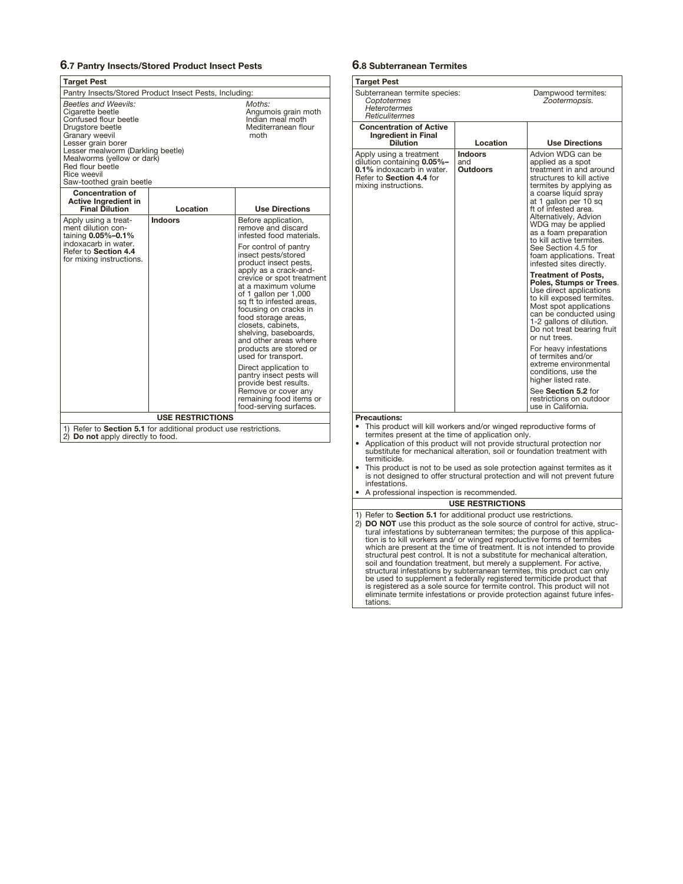#### **6.7 Pantry Insects/Stored Product Insect Pests**

| <b>Target Pest</b>                                                                                                                                                                                                                                                                                                                                         |                                                        |                                                                                                                                                                                                                                                                                                                                                                                                                                                                                                                                            |  |
|------------------------------------------------------------------------------------------------------------------------------------------------------------------------------------------------------------------------------------------------------------------------------------------------------------------------------------------------------------|--------------------------------------------------------|--------------------------------------------------------------------------------------------------------------------------------------------------------------------------------------------------------------------------------------------------------------------------------------------------------------------------------------------------------------------------------------------------------------------------------------------------------------------------------------------------------------------------------------------|--|
|                                                                                                                                                                                                                                                                                                                                                            | Pantry Insects/Stored Product Insect Pests, Including: |                                                                                                                                                                                                                                                                                                                                                                                                                                                                                                                                            |  |
| <b>Beetles and Weevils:</b><br>Moths:<br>Cigarette beetle<br>Angumois grain moth<br>Indian meal moth<br>Confused flour beetle<br>Mediterranean flour<br>Drugstore beetle<br>moth<br>Granary weevil<br>Lesser grain borer<br>Lesser mealworm (Darkling beetle)<br>Mealworms (yellow or dark)<br>Red flour beetle<br>Rice weevil<br>Saw-toothed grain beetle |                                                        |                                                                                                                                                                                                                                                                                                                                                                                                                                                                                                                                            |  |
| <b>Concentration of</b><br>Active Ingredient in<br><b>Final Dilution</b>                                                                                                                                                                                                                                                                                   | Location                                               | <b>Use Directions</b>                                                                                                                                                                                                                                                                                                                                                                                                                                                                                                                      |  |
| Apply using a treat-<br>ment dilution con-<br>taining 0.05%-0.1%                                                                                                                                                                                                                                                                                           | Indoors                                                | Before application,<br>remove and discard<br>infested food materials.                                                                                                                                                                                                                                                                                                                                                                                                                                                                      |  |
| indoxacarb in water.<br>Refer to Section 4.4<br>for mixing instructions.                                                                                                                                                                                                                                                                                   |                                                        | For control of pantry<br>insect pests/stored<br>product insect pests,<br>apply as a crack-and-<br>crevice or spot treatment<br>at a maximum volume<br>of 1 gallon per 1,000<br>sq ft to infested areas,<br>focusing on cracks in<br>food storage areas,<br>closets, cabinets,<br>shelving, baseboards,<br>and other areas where<br>products are stored or<br>used for transport.<br>Direct application to<br>pantry insect pests will<br>provide best results.<br>Remove or cover any<br>remaining food items or<br>food-serving surfaces. |  |
| <b>USE RESTRICTIONS</b>                                                                                                                                                                                                                                                                                                                                    |                                                        |                                                                                                                                                                                                                                                                                                                                                                                                                                                                                                                                            |  |
| 1) Refer to Section 5.1 for additional product use restrictions.<br>2) Do not apply directly to food.                                                                                                                                                                                                                                                      |                                                        |                                                                                                                                                                                                                                                                                                                                                                                                                                                                                                                                            |  |

# **6.8 Subterranean Termites**

| Target Pest                                                                                                                                                                                                                                                                                                                                                                                                                                                                   |                                   |                                                                                                                                                                                                                                                                                                                                                                                        |
|-------------------------------------------------------------------------------------------------------------------------------------------------------------------------------------------------------------------------------------------------------------------------------------------------------------------------------------------------------------------------------------------------------------------------------------------------------------------------------|-----------------------------------|----------------------------------------------------------------------------------------------------------------------------------------------------------------------------------------------------------------------------------------------------------------------------------------------------------------------------------------------------------------------------------------|
| Subterranean termite species:<br>Coptotermes<br><b>Heterotermes</b><br>Reticulitermes                                                                                                                                                                                                                                                                                                                                                                                         |                                   | Dampwood termites:<br>Zootermopsis.                                                                                                                                                                                                                                                                                                                                                    |
| <b>Concentration of Active</b>                                                                                                                                                                                                                                                                                                                                                                                                                                                |                                   |                                                                                                                                                                                                                                                                                                                                                                                        |
| <b>Ingredient in Final</b><br><b>Dilution</b>                                                                                                                                                                                                                                                                                                                                                                                                                                 | Location                          | <b>Use Directions</b>                                                                                                                                                                                                                                                                                                                                                                  |
| Apply using a treatment<br>dilution containing 0.05%-<br>0.1% indoxacarb in water.<br>Refer to Section 4.4 for<br>mixing instructions.                                                                                                                                                                                                                                                                                                                                        | <b>Indoors</b><br>and<br>Outdoors | Advion WDG can be<br>applied as a spot<br>treatment in and around<br>structures to kill active<br>termites by applying as<br>a coarse liquid spray<br>at 1 gallon per 10 sq<br>ft of infested area.<br>Alternatively, Advion<br>WDG may be applied<br>as a foam preparation<br>to kill active termites.<br>See Section 4.5 for<br>foam applications. Treat<br>infested sites directly. |
|                                                                                                                                                                                                                                                                                                                                                                                                                                                                               |                                   | <b>Treatment of Posts,</b><br>Poles, Stumps or Trees.<br>Use direct applications<br>to kill exposed termites.<br>Most spot applications<br>can be conducted using<br>1-2 gallons of dilution.<br>Do not treat bearing fruit<br>or nut trees.                                                                                                                                           |
|                                                                                                                                                                                                                                                                                                                                                                                                                                                                               |                                   | For heavy infestations<br>of termites and/or<br>extreme environmental<br>conditions, use the<br>higher listed rate.                                                                                                                                                                                                                                                                    |
|                                                                                                                                                                                                                                                                                                                                                                                                                                                                               |                                   | See Section 5.2 for<br>restrictions on outdoor<br>use in California.                                                                                                                                                                                                                                                                                                                   |
| <b>Precautions:</b><br>This product will kill workers and/or winged reproductive forms of<br>termites present at the time of application only.<br>Application of this product will not provide structural protection nor<br>substitute for mechanical alteration, soil or foundation treatment with<br>termiticide.<br>This product is not to be used as sole protection against termites as it<br>is not designed to offer structural protection and will not prevent future |                                   |                                                                                                                                                                                                                                                                                                                                                                                        |
| infestations.<br>A professional inspection is recommended.<br>٠                                                                                                                                                                                                                                                                                                                                                                                                               |                                   |                                                                                                                                                                                                                                                                                                                                                                                        |
|                                                                                                                                                                                                                                                                                                                                                                                                                                                                               | <b>USE RESTRICTIONS</b>           |                                                                                                                                                                                                                                                                                                                                                                                        |
| 1) Refer to Section 5.1 for additional product use restrictions.<br>2) DO NOT use this product as the sole source of control for active, struc-<br>tural infestations by subterranean termites; the purpose of this applica-<br>tion is to kill workers and/ or winged reproductive forms of termites<br>which are present at the time of treatment. It is not intended to provide<br>structural pest control. It is not a substitute for mechanical alteration,              |                                   |                                                                                                                                                                                                                                                                                                                                                                                        |

structural pest control. It is not a substitute for mechanical alteration,<br>soil and foundation treatment, but merely a supplement. For active,<br>structural infestations by subterranean termities, this product can only<br>be use tations.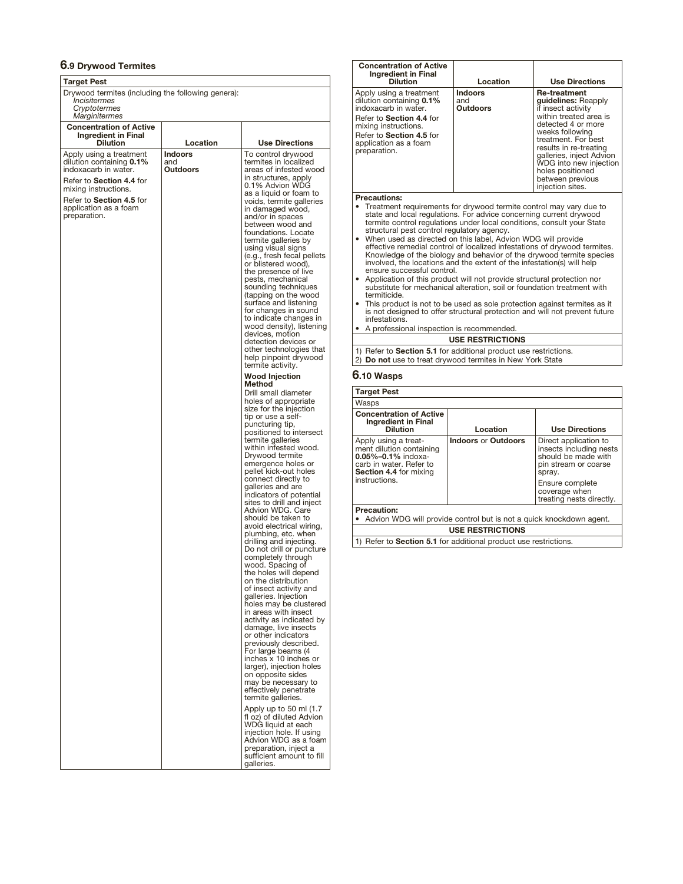# **6.9 Drywood Termites**

| Target Pest                                                                                                                                                                                          |                            |                                                                                                                                                                                                                                                                                                                                                                                                                                                                                                                                                                                                                                                                                                                                                                                                                                                                                                                                                                                                                                                                 |  |
|------------------------------------------------------------------------------------------------------------------------------------------------------------------------------------------------------|----------------------------|-----------------------------------------------------------------------------------------------------------------------------------------------------------------------------------------------------------------------------------------------------------------------------------------------------------------------------------------------------------------------------------------------------------------------------------------------------------------------------------------------------------------------------------------------------------------------------------------------------------------------------------------------------------------------------------------------------------------------------------------------------------------------------------------------------------------------------------------------------------------------------------------------------------------------------------------------------------------------------------------------------------------------------------------------------------------|--|
| Drywood termites (including the following genera):<br>Incisitermes<br>Cryptotermes<br>Marginitermes                                                                                                  |                            |                                                                                                                                                                                                                                                                                                                                                                                                                                                                                                                                                                                                                                                                                                                                                                                                                                                                                                                                                                                                                                                                 |  |
| <b>Concentration of Active</b><br><b>Ingredient in Final</b><br><b>Dilution</b>                                                                                                                      | Location                   | <b>Use Directions</b>                                                                                                                                                                                                                                                                                                                                                                                                                                                                                                                                                                                                                                                                                                                                                                                                                                                                                                                                                                                                                                           |  |
| Apply using a treatment<br>dilution containing 0.1%<br>indoxacarb in water.<br>Refer to Section 4.4 for<br>mixing instructions.<br>Refer to Section 4.5 for<br>application as a foam<br>preparation. | Indoors<br>and<br>Outdoors | To control drywood<br>termites in localized<br>areas of infested wood<br>in structures, apply<br>0.1% Advion WDG<br>as a liquid or foam to<br>voids, termite galleries<br>in damaged wood,<br>and/or in spaces<br>between wood and<br>foundations. Locate<br>termite galleries by<br>using visual signs<br>(e.g., fresh fecal pellets<br>or blistered wood),<br>the presence of live<br>pests, mechanical<br>sounding techniques<br>(tapping on the wood<br>surface and listening<br>for changes in sound<br>to indicate changes in<br>wood density), listening<br>devices, motion<br>detection devices or<br>other technologies that<br>help pinpoint drywood<br>termite activity.                                                                                                                                                                                                                                                                                                                                                                             |  |
|                                                                                                                                                                                                      |                            | <b>Wood Injection</b><br><b>Method</b><br>Drill small diameter<br>holes of appropriate<br>size for the injection<br>tip or use a self-<br>puncturing tip,<br>positioned to intersect<br>termite galleries<br>within infested wood.<br>Drywood termite<br>emergence holes or<br>pellet kick-out holes<br>connect directly to<br>galleries and are<br>indicators of potential<br>sites to drill and inject<br>Advion WDG, Care<br>should be taken to<br>avoid electrical wiring,<br>plumbing, etc. when<br>drilling and injecting.<br>Do not drill or puncture<br>completely through<br>wood. Spacing of<br>the holes will depend<br>on the distribution<br>of insect activity and<br>galleries. Injection<br>holes may be clustered<br>in areas with insect<br>activity as indicated by<br>damage, live insects<br>or other indicators<br>previously described.<br>For large beams (4<br>inches x 10 inches or<br>larger), injection holes<br>on opposite sides<br>may be necessary to<br>effectively penetrate<br>termite galleries.<br>Apply up to 50 ml (1.7) |  |
|                                                                                                                                                                                                      |                            | fl oz) of diluted Advion<br>WDG liquid at each<br>injection hole. If using<br>Advion WDG as a foam<br>preparation, inject a<br>sufficient amount to fill<br>galleries.                                                                                                                                                                                                                                                                                                                                                                                                                                                                                                                                                                                                                                                                                                                                                                                                                                                                                          |  |

| <b>Concentration of Active</b><br><b>Ingredient in Final</b><br><b>Dilution</b>                                                                                | Location        | <b>Use Directions</b>                              |  |
|----------------------------------------------------------------------------------------------------------------------------------------------------------------|-----------------|----------------------------------------------------|--|
|                                                                                                                                                                | <b>Indoors</b>  | <b>Re-treatment</b>                                |  |
| Apply using a treatment<br>dilution containing 0.1%                                                                                                            | and             | guidelines: Reapply                                |  |
| indoxacarb in water.<br>Refer to Section 4.4 for                                                                                                               | <b>Outdoors</b> | if insect activity<br>within treated area is       |  |
| mixing instructions.                                                                                                                                           |                 | detected 4 or more                                 |  |
| Refer to Section 4.5 for                                                                                                                                       |                 | weeks following<br>treatment. For best             |  |
| application as a foam<br>preparation.                                                                                                                          |                 | results in re-treating                             |  |
|                                                                                                                                                                |                 | galleries, inject Advion<br>WDG into new injection |  |
|                                                                                                                                                                |                 | holes positioned                                   |  |
|                                                                                                                                                                |                 | between previous<br>injection sites.               |  |
| <b>Precautions:</b>                                                                                                                                            |                 |                                                    |  |
|                                                                                                                                                                |                 |                                                    |  |
| Treatment requirements for drywood termite control may vary due to<br>state and local regulations. For advice concerning current drywood                       |                 |                                                    |  |
| termite control regulations under local conditions, consult your State                                                                                         |                 |                                                    |  |
| structural pest control regulatory agency.<br>• When used as directed on this label, Advion WDG will provide                                                   |                 |                                                    |  |
| effective remedial control of localized infestations of drywood termites.                                                                                      |                 |                                                    |  |
| Knowledge of the biology and behavior of the drywood termite species                                                                                           |                 |                                                    |  |
| involved, the locations and the extent of the infestation(s) will help<br>ensure successful control.                                                           |                 |                                                    |  |
| Application of this product will not provide structural protection nor<br>$\bullet$<br>substitute for mechanical alteration, soil or foundation treatment with |                 |                                                    |  |
| termiticide.                                                                                                                                                   |                 |                                                    |  |
| This product is not to be used as sole protection against termites as it<br>is not designed to offer structural protection and will not prevent future         |                 |                                                    |  |
| infestations                                                                                                                                                   |                 |                                                    |  |
| A professional inspection is recommended.                                                                                                                      |                 |                                                    |  |

**USE RESTRICTIONS**

1) Refer to **Section 5.1** for additional product use restrictions.

2) **Do not** use to treat drywood termites in New York State

# **6.10 Wasps**

| <b>Target Pest</b>                                                                                                                |                            |                                                                                                           |
|-----------------------------------------------------------------------------------------------------------------------------------|----------------------------|-----------------------------------------------------------------------------------------------------------|
| Wasps                                                                                                                             |                            |                                                                                                           |
| <b>Concentration of Active</b><br><b>Ingredient in Final</b><br><b>Dilution</b>                                                   | Location                   | <b>Use Directions</b>                                                                                     |
| Apply using a treat-<br>ment dilution containing<br>$0.05\% - 0.1\%$ indoxa-<br>carb in water. Refer to<br>Section 4.4 for mixing | <b>Indoors or Outdoors</b> | Direct application to<br>insects including nests<br>should be made with<br>pin stream or coarse<br>spray. |
| instructions.                                                                                                                     |                            | Ensure complete<br>coverage when<br>treating nests directly.                                              |
| <b>Precaution:</b><br>Advion WDG will provide control but is not a quick knockdown agent.                                         |                            |                                                                                                           |
|                                                                                                                                   |                            |                                                                                                           |
| <b>USE RESTRICTIONS</b>                                                                                                           |                            |                                                                                                           |
| Refer to Section 5.1 for additional product use restrictions.                                                                     |                            |                                                                                                           |